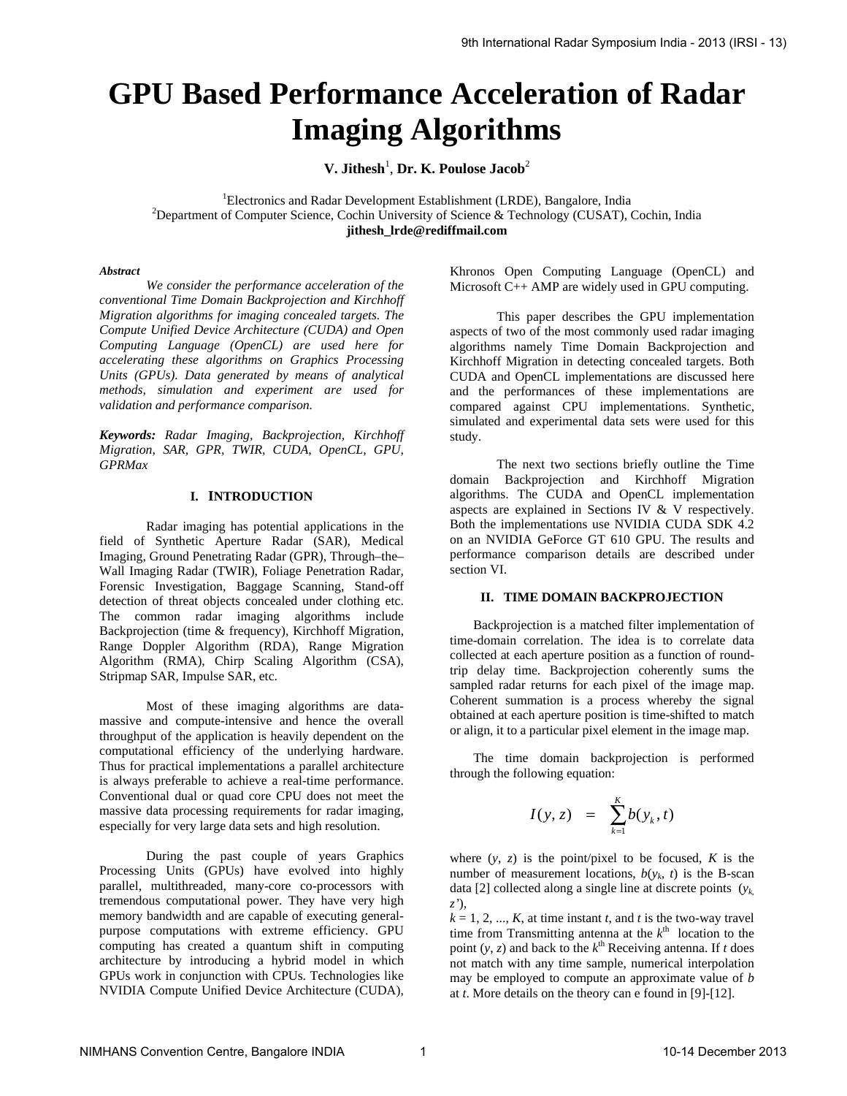# **GPU Based Performance Acceleration of Radar Imaging Algorithms**

V. Jithesh<sup>1</sup>, Dr. K. Poulose Jacob<sup>2</sup>

<sup>1</sup>Electronics and Radar Development Establishment (LRDE), Bangalore, India<br><sup>2</sup>Department of Computer Science, Cookin University of Science & Technology (CUSAT), 6  $P^2$ Department of Computer Science, Cochin University of Science & Technology (CUSAT), Cochin, India **jithesh\_lrde@rediffmail.com**

#### *Abstract*

*We consider the performance acceleration of the conventional Time Domain Backprojection and Kirchhoff Migration algorithms for imaging concealed targets. The Compute Unified Device Architecture (CUDA) and Open Computing Language (OpenCL) are used here for accelerating these algorithms on Graphics Processing Units (GPUs). Data generated by means of analytical methods, simulation and experiment are used for validation and performance comparison.* 

*Keywords: Radar Imaging, Backprojection, Kirchhoff Migration, SAR, GPR, TWIR, CUDA, OpenCL, GPU, GPRMax* 

## **I. INTRODUCTION**

Radar imaging has potential applications in the field of Synthetic Aperture Radar (SAR), Medical Imaging, Ground Penetrating Radar (GPR), Through–the– Wall Imaging Radar (TWIR), Foliage Penetration Radar, Forensic Investigation, Baggage Scanning, Stand-off detection of threat objects concealed under clothing etc. The common radar imaging algorithms include Backprojection (time & frequency), Kirchhoff Migration, Range Doppler Algorithm (RDA), Range Migration Algorithm (RMA), Chirp Scaling Algorithm (CSA), Stripmap SAR, Impulse SAR, etc.

Most of these imaging algorithms are datamassive and compute-intensive and hence the overall throughput of the application is heavily dependent on the computational efficiency of the underlying hardware. Thus for practical implementations a parallel architecture is always preferable to achieve a real-time performance. Conventional dual or quad core CPU does not meet the massive data processing requirements for radar imaging, especially for very large data sets and high resolution.

During the past couple of years Graphics Processing Units (GPUs) have evolved into highly parallel, multithreaded, many-core co-processors with tremendous computational power. They have very high memory bandwidth and are capable of executing generalpurpose computations with extreme efficiency. GPU computing has created a quantum shift in computing architecture by introducing a hybrid model in which GPUs work in conjunction with CPUs. Technologies like NVIDIA Compute Unified Device Architecture (CUDA),

Khronos Open Computing Language (OpenCL) and Microsoft C++ AMP are widely used in GPU computing.

This paper describes the GPU implementation aspects of two of the most commonly used radar imaging algorithms namely Time Domain Backprojection and Kirchhoff Migration in detecting concealed targets. Both CUDA and OpenCL implementations are discussed here and the performances of these implementations are compared against CPU implementations. Synthetic, simulated and experimental data sets were used for this study.

The next two sections briefly outline the Time domain Backprojection and Kirchhoff Migration algorithms. The CUDA and OpenCL implementation aspects are explained in Sections IV & V respectively. Both the implementations use NVIDIA CUDA SDK 4.2 on an NVIDIA GeForce GT 610 GPU. The results and performance comparison details are described under section VI.

### **II. TIME DOMAIN BACKPROJECTION**

Backprojection is a matched filter implementation of time-domain correlation. The idea is to correlate data collected at each aperture position as a function of roundtrip delay time. Backprojection coherently sums the sampled radar returns for each pixel of the image map. Coherent summation is a process whereby the signal obtained at each aperture position is time-shifted to match or align, it to a particular pixel element in the image map.

The time domain backprojection is performed through the following equation:

$$
I(y, z) = \sum_{k=1}^{K} b(y_k, t)
$$

where  $(y, z)$  is the point/pixel to be focused, *K* is the number of measurement locations,  $b(y_k, t)$  is the B-scan data [2] collected along a single line at discrete points (*yk*, *z'*),

 $k = 1, 2, ..., K$ , at time instant *t*, and *t* is the two-way travel time from Transmitting antenna at the  $k^{\text{th}}$  location to the point  $(y, z)$  and back to the  $k^{\text{th}}$  Receiving antenna. If *t* does not match with any time sample, numerical interpolation may be employed to compute an approximate value of *b* at *t*. More details on the theory can e found in [9]-[12].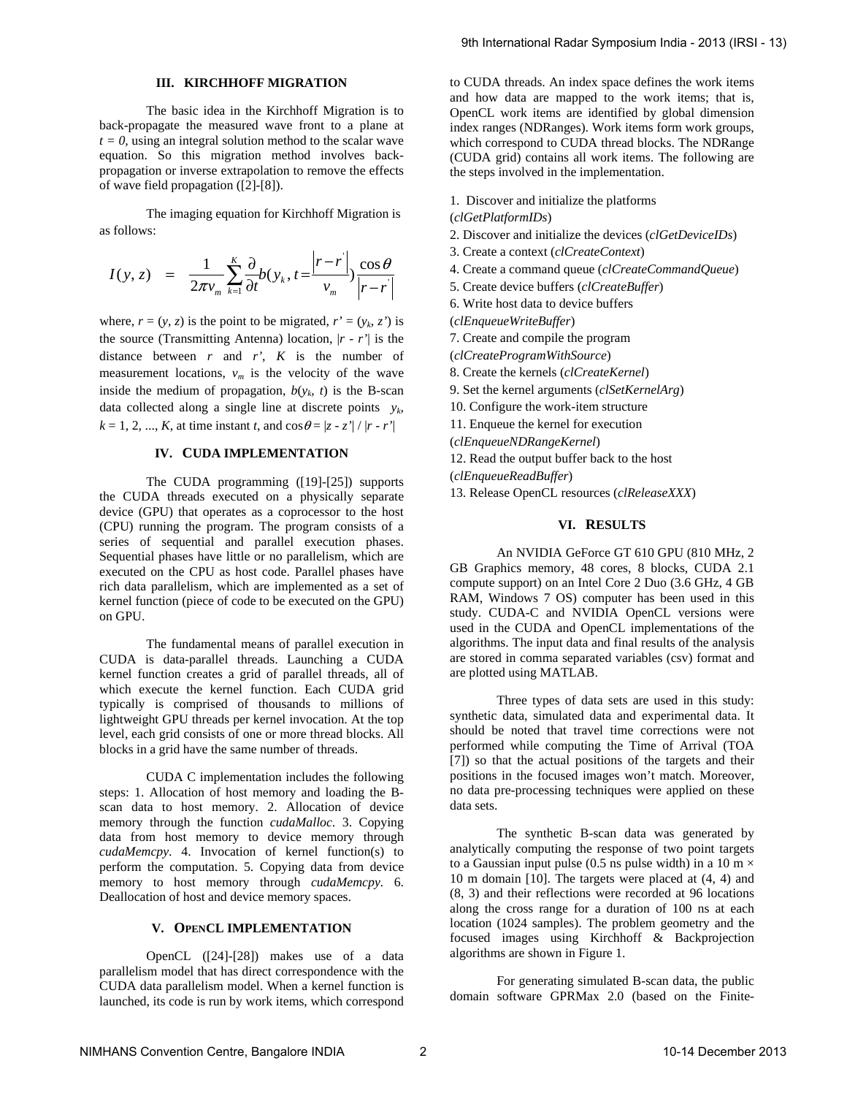# **III. KIRCHHOFF MIGRATION**

The basic idea in the Kirchhoff Migration is to back-propagate the measured wave front to a plane at  $t = 0$ , using an integral solution method to the scalar wave equation. So this migration method involves backpropagation or inverse extrapolation to remove the effects of wave field propagation ([2]-[8]).

The imaging equation for Kirchhoff Migration is as follows:

$$
I(y, z) = \frac{1}{2\pi v_m} \sum_{k=1}^{K} \frac{\partial}{\partial t} b(y_k, t = \frac{|r - r|}{v_m}) \frac{\cos \theta}{|r - r|}
$$

where,  $r = (y, z)$  is the point to be migrated,  $r' = (y_k, z')$  is the source (Transmitting Antenna) location, |*r* - *r'*| is the distance between  $r$  and  $r'$ ,  $K$  is the number of measurement locations,  $v_m$  is the velocity of the wave inside the medium of propagation,  $b(y_k, t)$  is the B-scan data collected along a single line at discrete points  $y_k$ ,  $k = 1, 2, ..., K$ , at time instant *t*, and  $\cos \theta = |z - z'| / |r - r'|$ 

#### **IV. CUDA IMPLEMENTATION**

The CUDA programming ([19]-[25]) supports the CUDA threads executed on a physically separate device (GPU) that operates as a coprocessor to the host (CPU) running the program. The program consists of a series of sequential and parallel execution phases. Sequential phases have little or no parallelism, which are executed on the CPU as host code. Parallel phases have rich data parallelism, which are implemented as a set of kernel function (piece of code to be executed on the GPU) on GPU.

The fundamental means of parallel execution in CUDA is data-parallel threads. Launching a CUDA kernel function creates a grid of parallel threads, all of which execute the kernel function. Each CUDA grid typically is comprised of thousands to millions of lightweight GPU threads per kernel invocation. At the top level, each grid consists of one or more thread blocks. All blocks in a grid have the same number of threads.

CUDA C implementation includes the following steps: 1. Allocation of host memory and loading the Bscan data to host memory. 2. Allocation of device memory through the function *cudaMalloc*. 3. Copying data from host memory to device memory through *cudaMemcpy*. 4. Invocation of kernel function(s) to perform the computation. 5. Copying data from device memory to host memory through *cudaMemcpy.* 6. Deallocation of host and device memory spaces.

## **V. OPENCL IMPLEMENTATION**

OpenCL ([24]-[28]) makes use of a data parallelism model that has direct correspondence with the CUDA data parallelism model. When a kernel function is launched, its code is run by work items, which correspond to CUDA threads. An index space defines the work items and how data are mapped to the work items; that is, OpenCL work items are identified by global dimension index ranges (NDRanges). Work items form work groups, which correspond to CUDA thread blocks. The NDRange (CUDA grid) contains all work items. The following are the steps involved in the implementation.

- 1. Discover and initialize the platforms
- (*clGetPlatformIDs*)
- 2. Discover and initialize the devices (*clGetDeviceIDs*)
- 3. Create a context (*clCreateContext*)
- 4. Create a command queue (*clCreateCommandQueue*)
- 5. Create device buffers (*clCreateBuffer*)
- 6. Write host data to device buffers
- (*clEnqueueWriteBuffer*)
- 7. Create and compile the program
- (*clCreateProgramWithSource*)
- 8. Create the kernels (*clCreateKernel*)
- 9. Set the kernel arguments (*clSetKernelArg*)
- 10. Configure the work-item structure
- 11. Enqueue the kernel for execution
- (*clEnqueueNDRangeKernel*)
- 12. Read the output buffer back to the host
- (*clEnqueueReadBuffer*)
- 13. Release OpenCL resources (*clReleaseXXX*)

# **VI. RESULTS**

An NVIDIA GeForce GT 610 GPU (810 MHz, 2 GB Graphics memory, 48 cores, 8 blocks, CUDA 2.1 compute support) on an Intel Core 2 Duo (3.6 GHz, 4 GB RAM, Windows 7 OS) computer has been used in this study. CUDA-C and NVIDIA OpenCL versions were used in the CUDA and OpenCL implementations of the algorithms. The input data and final results of the analysis are stored in comma separated variables (csv) format and are plotted using MATLAB.

Three types of data sets are used in this study: synthetic data, simulated data and experimental data. It should be noted that travel time corrections were not performed while computing the Time of Arrival (TOA [7]) so that the actual positions of the targets and their positions in the focused images won't match. Moreover, no data pre-processing techniques were applied on these data sets.

The synthetic B-scan data was generated by analytically computing the response of two point targets to a Gaussian input pulse (0.5 ns pulse width) in a 10 m  $\times$ 10 m domain [10]. The targets were placed at (4, 4) and (8, 3) and their reflections were recorded at 96 locations along the cross range for a duration of 100 ns at each location (1024 samples). The problem geometry and the focused images using Kirchhoff & Backprojection algorithms are shown in Figure 1.

For generating simulated B-scan data, the public domain software GPRMax 2.0 (based on the Finite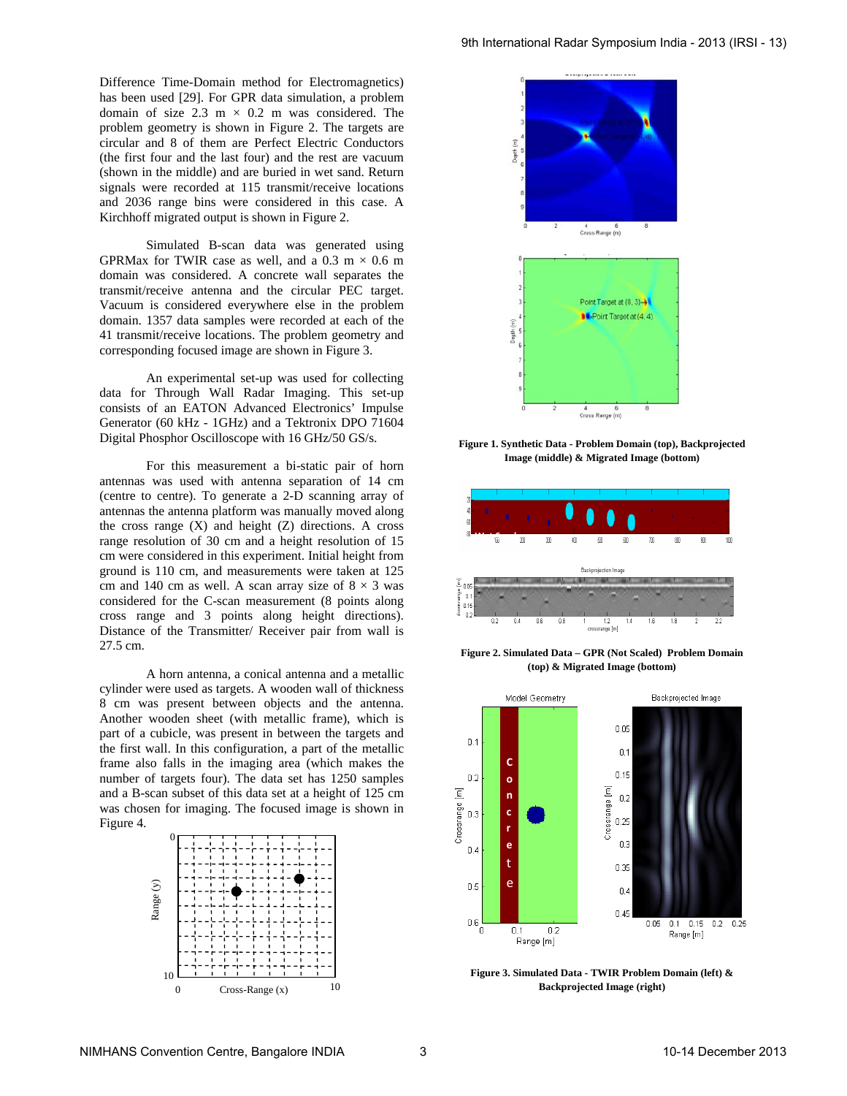Difference Time-Domain method for Electromagnetics) has been used [29]. For GPR data simulation, a problem domain of size 2.3 m  $\times$  0.2 m was considered. The problem geometry is shown in Figure 2. The targets are circular and 8 of them are Perfect Electric Conductors (the first four and the last four) and the rest are vacuum (shown in the middle) and are buried in wet sand. Return signals were recorded at 115 transmit/receive locations and 2036 range bins were considered in this case. A Kirchhoff migrated output is shown in Figure 2.

Simulated B-scan data was generated using GPRMax for TWIR case as well, and a  $0.3 \text{ m} \times 0.6 \text{ m}$ domain was considered. A concrete wall separates the transmit/receive antenna and the circular PEC target. Vacuum is considered everywhere else in the problem domain. 1357 data samples were recorded at each of the 41 transmit/receive locations. The problem geometry and corresponding focused image are shown in Figure 3.

An experimental set-up was used for collecting data for Through Wall Radar Imaging. This set-up consists of an EATON Advanced Electronics' Impulse Generator (60 kHz - 1GHz) and a Tektronix DPO 71604 Digital Phosphor Oscilloscope with 16 GHz/50 GS/s.

For this measurement a bi-static pair of horn antennas was used with antenna separation of 14 cm (centre to centre). To generate a 2-D scanning array of antennas the antenna platform was manually moved along the cross range  $(X)$  and height  $(Z)$  directions. A cross range resolution of 30 cm and a height resolution of 15 cm were considered in this experiment. Initial height from ground is 110 cm, and measurements were taken at 125 cm and 140 cm as well. A scan array size of  $8 \times 3$  was considered for the C-scan measurement (8 points along cross range and 3 points along height directions). Distance of the Transmitter/ Receiver pair from wall is 27.5 cm.

A horn antenna, a conical antenna and a metallic cylinder were used as targets. A wooden wall of thickness 8 cm was present between objects and the antenna. Another wooden sheet (with metallic frame), which is part of a cubicle, was present in between the targets and the first wall. In this configuration, a part of the metallic frame also falls in the imaging area (which makes the number of targets four). The data set has 1250 samples and a B-scan subset of this data set at a height of 125 cm was chosen for imaging. The focused image is shown in Figure 4.





**Figure 1. Synthetic Data - Problem Domain (top), Backprojected Image (middle) & Migrated Image (bottom)** 



**Figure 2. Simulated Data – GPR (Not Scaled) Problem Domain (top) & Migrated Image (bottom)** 



**Figure 3. Simulated Data - TWIR Problem Domain (left) & Backprojected Image (right)**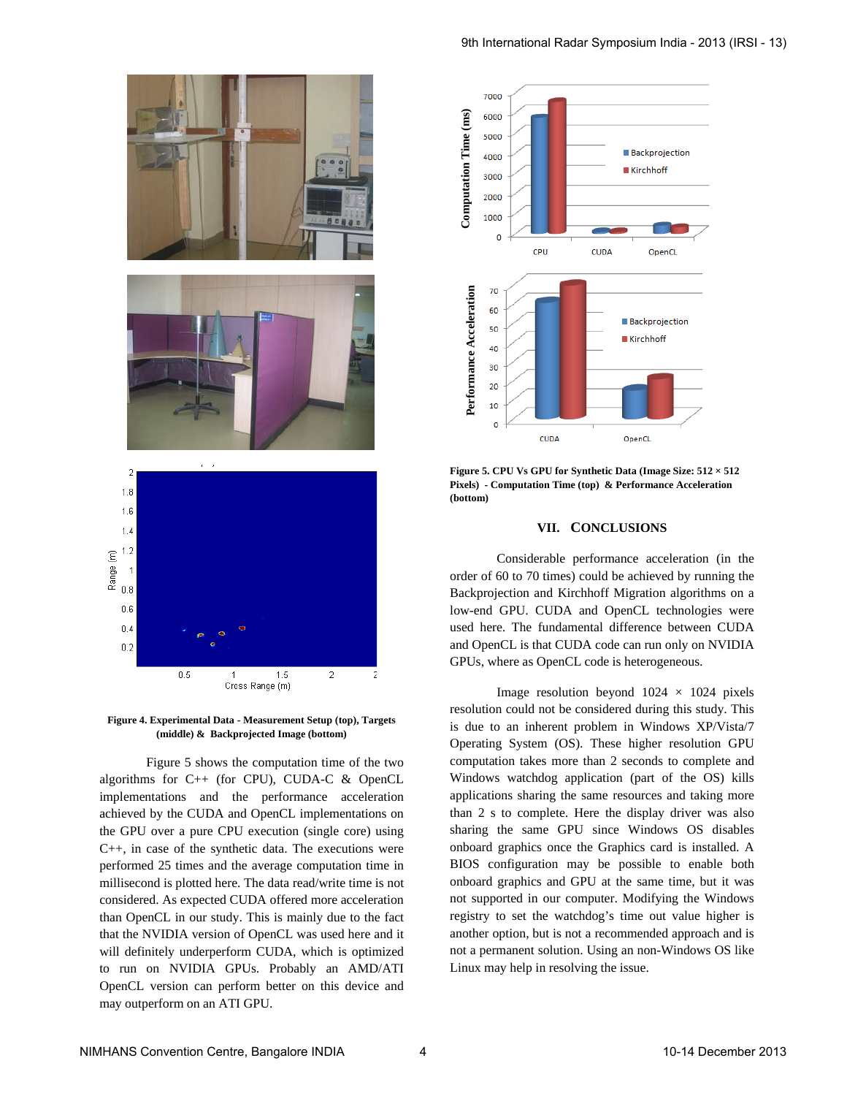

**Figure 4. Experimental Data - Measurement Setup (top), Targets (middle) & Backprojected Image (bottom)** 

 Figure 5 shows the computation time of the two algorithms for C++ (for CPU), CUDA-C & OpenCL implementations and the performance acceleration achieved by the CUDA and OpenCL implementations on the GPU over a pure CPU execution (single core) using C++, in case of the synthetic data. The executions were performed 25 times and the average computation time in millisecond is plotted here. The data read/write time is not considered. As expected CUDA offered more acceleration than OpenCL in our study. This is mainly due to the fact that the NVIDIA version of OpenCL was used here and it will definitely underperform CUDA, which is optimized to run on NVIDIA GPUs. Probably an AMD/ATI OpenCL version can perform better on this device and may outperform on an ATI GPU.



**Figure 5. CPU Vs GPU for Synthetic Data (Image Size: 512 × 512 Pixels) - Computation Time (top) & Performance Acceleration (bottom)** 

#### **VII. CONCLUSIONS**

Considerable performance acceleration (in the order of 60 to 70 times) could be achieved by running the Backprojection and Kirchhoff Migration algorithms on a low-end GPU. CUDA and OpenCL technologies were used here. The fundamental difference between CUDA and OpenCL is that CUDA code can run only on NVIDIA GPUs, where as OpenCL code is heterogeneous.

Image resolution beyond  $1024 \times 1024$  pixels resolution could not be considered during this study. This is due to an inherent problem in Windows XP/Vista/7 Operating System (OS). These higher resolution GPU computation takes more than 2 seconds to complete and Windows watchdog application (part of the OS) kills applications sharing the same resources and taking more than 2 s to complete. Here the display driver was also sharing the same GPU since Windows OS disables onboard graphics once the Graphics card is installed. A BIOS configuration may be possible to enable both onboard graphics and GPU at the same time, but it was not supported in our computer. Modifying the Windows registry to set the watchdog's time out value higher is another option, but is not a recommended approach and is not a permanent solution. Using an non-Windows OS like